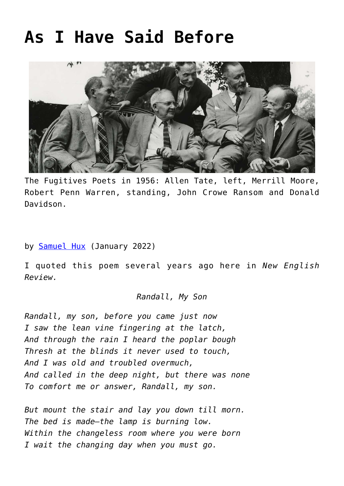## **[As I Have Said Before](https://www.newenglishreview.org/articles/as-i-have-said-before/)**



The Fugitives Poets in 1956: Allen Tate, left, Merrill Moore, Robert Penn Warren, standing, John Crowe Ransom and Donald Davidson.

by **[Samuel Hux](https://www.newenglishreview.org/authors/samuel-hux/?)** (January 2022)

I quoted this poem several years ago here in *New English Review.*

## *Randall, My Son*

*Randall, my son, before you came just now I saw the lean vine fingering at the latch, And through the rain I heard the poplar bough Thresh at the blinds it never used to touch, And I was old and troubled overmuch, And called in the deep night, but there was none To comfort me or answer, Randall, my son.*

*But mount the stair and lay you down till morn. The bed is made—the lamp is burning low. Within the changeless room where you were born I wait the changing day when you must go.*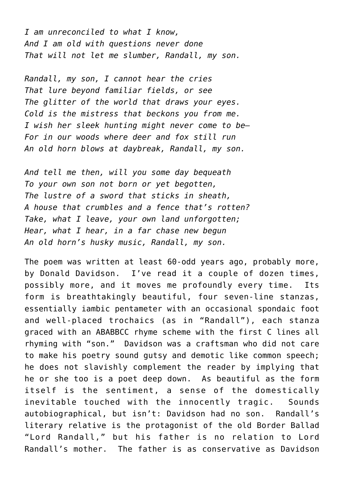*I am unreconciled to what I know, And I am old with questions never done That will not let me slumber, Randall, my son.*

*Randall, my son, I cannot hear the cries That lure beyond familiar fields, or see The glitter of the world that draws your eyes. Cold is the mistress that beckons you from me. I wish her sleek hunting might never come to be— For in our woods where deer and fox still run An old horn blows at daybreak, Randall, my son.*

*And tell me then, will you some day bequeath To your own son not born or yet begotten, The lustre of a sword that sticks in sheath, A house that crumbles and a fence that's rotten? Take, what I leave, your own land unforgotten; Hear, what I hear, in a far chase new begun An old horn's husky music, Randall, my son.*

The poem was written at least 60-odd years ago, probably more, by Donald Davidson. I've read it a couple of dozen times, possibly more, and it moves me profoundly every time. Its form is breathtakingly beautiful, four seven-line stanzas, essentially iambic pentameter with an occasional spondaic foot and well-placed trochaics (as in "Randall"), each stanza graced with an ABABBCC rhyme scheme with the first C lines all rhyming with "son." Davidson was a craftsman who did not care to make his poetry sound gutsy and demotic like common speech; he does not slavishly complement the reader by implying that he or she too is a poet deep down. As beautiful as the form itself is the sentiment, a sense of the domestically inevitable touched with the innocently tragic. Sounds autobiographical, but isn't: Davidson had no son. Randall's literary relative is the protagonist of the old Border Ballad "Lord Randall," but his father is no relation to Lord Randall's mother. The father is as conservative as Davidson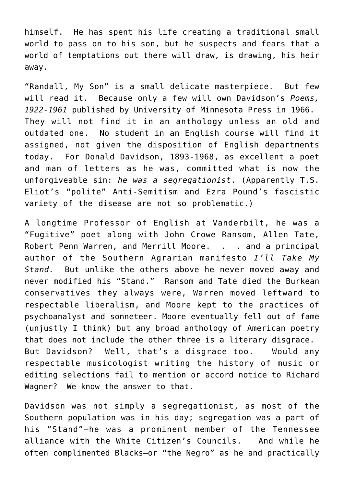himself. He has spent his life creating a traditional small world to pass on to his son, but he suspects and fears that a world of temptations out there will draw, is drawing, his heir away.

"Randall, My Son" is a small delicate masterpiece. But few will read it. Because only a few will own Davidson's *Poems, 1922-1961* published by University of Minnesota Press in 1966. They will not find it in an anthology unless an old and outdated one. No student in an English course will find it assigned, not given the disposition of English departments today. For Donald Davidson, 1893-1968, as excellent a poet and man of letters as he was, committed what is now the unforgiveable sin: *he was a segregationist*. (Apparently T.S. Eliot's "polite" Anti-Semitism and Ezra Pound's fascistic variety of the disease are not so problematic.)

A longtime Professor of English at Vanderbilt, he was a "Fugitive" poet along with John Crowe Ransom, Allen Tate, Robert Penn Warren, and Merrill Moore. . . and a principal author of the Southern Agrarian manifesto *I'll Take My Stand.* But unlike the others above he never moved away and never modified his "Stand." Ransom and Tate died the Burkean conservatives they always were, Warren moved leftward to respectable liberalism, and Moore kept to the practices of psychoanalyst and sonneteer. Moore eventually fell out of fame (unjustly I think) but any broad anthology of American poetry that does not include the other three is a literary disgrace. But Davidson? Well, that's a disgrace too. Would any respectable musicologist writing the history of music or editing selections fail to mention or accord notice to Richard Wagner? We know the answer to that.

Davidson was not simply a segregationist, as most of the Southern population was in his day; segregation was a part of his "Stand"—he was a prominent member of the Tennessee alliance with the White Citizen's Councils. And while he often complimented Blacks—or "the Negro" as he and practically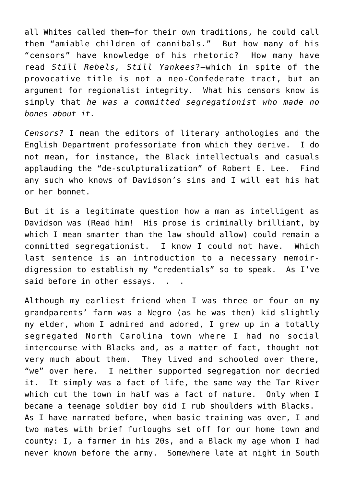all Whites called them—for their own traditions, he could call them "amiable children of cannibals." But how many of his "censors" have knowledge of his rhetoric? How many have read *Still Rebels, Still Yankees*?—which in spite of the provocative title is not a neo-Confederate tract, but an argument for regionalist integrity. What his censors know is simply that *he was a committed segregationist who made no bones about it.* 

*Censors?* I mean the editors of literary anthologies and the English Department professoriate from which they derive. I do not mean, for instance, the Black intellectuals and casuals applauding the "de-sculpturalization" of Robert E. Lee. Find any such who knows of Davidson's sins and I will eat his hat or her bonnet.

But it is a legitimate question how a man as intelligent as Davidson was (Read him! His prose is criminally brilliant, by which I mean smarter than the law should allow) could remain a committed segregationist. I know I could not have. Which last sentence is an introduction to a necessary memoirdigression to establish my "credentials" so to speak. As I've said before in other essays. . .

Although my earliest friend when I was three or four on my grandparents' farm was a Negro (as he was then) kid slightly my elder, whom I admired and adored, I grew up in a totally segregated North Carolina town where I had no social intercourse with Blacks and, as a matter of fact, thought not very much about them. They lived and schooled over there, "we" over here. I neither supported segregation nor decried it. It simply was a fact of life, the same way the Tar River which cut the town in half was a fact of nature. Only when I became a teenage soldier boy did I rub shoulders with Blacks. As I have narrated before, when basic training was over, I and two mates with brief furloughs set off for our home town and county: I, a farmer in his 20s, and a Black my age whom I had never known before the army. Somewhere late at night in South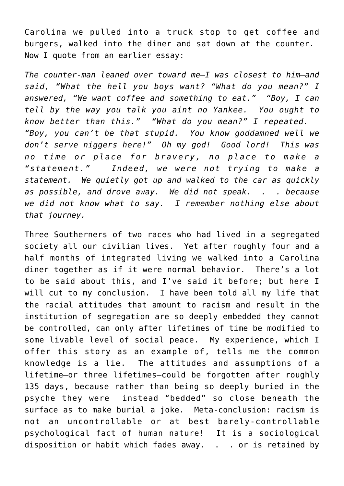Carolina we pulled into a truck stop to get coffee and burgers, walked into the diner and sat down at the counter. Now I quote from an earlier essay:

*The counter-man leaned over toward me—I was closest to him—and said, "What the hell you boys want? "What do you mean?" I answered, "We want coffee and something to eat." "Boy, I can tell by the way you talk you aint no Yankee. You ought to know better than this." "What do you mean?" I repeated. "Boy, you can't be that stupid. You know goddamned well we don't serve niggers here!" Oh my god! Good lord! This was no time or place for bravery, no place to make a "statement." Indeed, we were not trying to make a statement. We quietly got up and walked to the car as quickly as possible, and drove away. We did not speak. . . because we did not know what to say. I remember nothing else about that journey.*

Three Southerners of two races who had lived in a segregated society all our civilian lives. Yet after roughly four and a half months of integrated living we walked into a Carolina diner together as if it were normal behavior. There's a lot to be said about this, and I've said it before; but here I will cut to my conclusion. I have been told all my life that the racial attitudes that amount to racism and result in the institution of segregation are so deeply embedded they cannot be controlled, can only after lifetimes of time be modified to some livable level of social peace. My experience, which I offer this story as an example of, tells me the common knowledge is a lie. The attitudes and assumptions of a lifetime—or three lifetimes—could be forgotten after roughly 135 days, because rather than being so deeply buried in the psyche they were instead "bedded" so close beneath the surface as to make burial a joke. Meta-conclusion: racism is not an uncontrollable or at best barely-controllable psychological fact of human nature! It is a sociological disposition or habit which fades away. . . or is retained by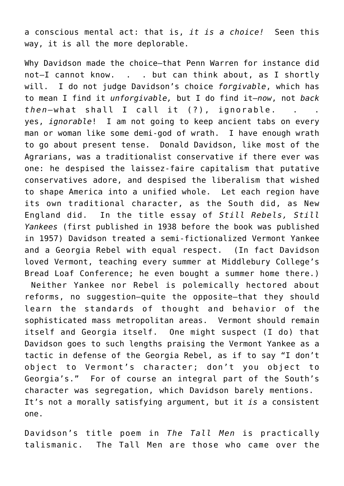a conscious mental act: that is, *it is a choice!* Seen this way, it is all the more deplorable.

Why Davidson made the choice—that Penn Warren for instance did not-I cannot know, . . but can think about, as I shortly will. I do not judge Davidson's choice *forgivable*, which has to mean I find it *unforgivable,* but I do find it—*now*, not *back then*—what shall I call it (?), ignorable. . . yes, *ignorable*! I am not going to keep ancient tabs on every man or woman like some demi-god of wrath. I have enough wrath to go about present tense. Donald Davidson, like most of the Agrarians, was a traditionalist conservative if there ever was one: he despised the laissez-faire capitalism that putative conservatives adore, and despised the liberalism that wished to shape America into a unified whole. Let each region have its own traditional character, as the South did, as New England did. In the title essay of *Still Rebels, Still Yankees* (first published in 1938 before the book was published in 1957) Davidson treated a semi-fictionalized Vermont Yankee and a Georgia Rebel with equal respect. (In fact Davidson loved Vermont, teaching every summer at Middlebury College's Bread Loaf Conference; he even bought a summer home there.) Neither Yankee nor Rebel is polemically hectored about reforms, no suggestion—quite the opposite—that they should learn the standards of thought and behavior of the

sophisticated mass metropolitan areas. Vermont should remain itself and Georgia itself. One might suspect (I do) that Davidson goes to such lengths praising the Vermont Yankee as a tactic in defense of the Georgia Rebel, as if to say "I don't object to Vermont's character; don't you object to Georgia's." For of course an integral part of the South's character was segregation, which Davidson barely mentions. It's not a morally satisfying argument, but it *is* a consistent one.

Davidson's title poem in *The Tall Men* is practically talismanic. The Tall Men are those who came over the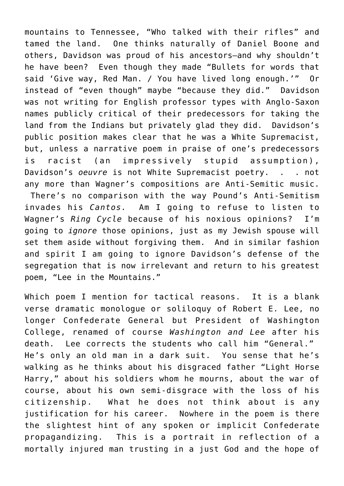mountains to Tennessee, "Who talked with their rifles" and tamed the land. One thinks naturally of Daniel Boone and others, Davidson was proud of his ancestors—and why shouldn't he have been? Even though they made "Bullets for words that said 'Give way, Red Man. / You have lived long enough.'" Or instead of "even though" maybe "because they did." Davidson was not writing for English professor types with Anglo-Saxon names publicly critical of their predecessors for taking the land from the Indians but privately glad they did. Davidson's public position makes clear that he was a White Supremacist, but, unless a narrative poem in praise of one's predecessors is racist (an impressively stupid assumption), Davidson's *oeuvre* is not White Supremacist poetry. . . not any more than Wagner's compositions are Anti-Semitic music. There's no comparison with the way Pound's Anti-Semitism invades his *Cantos.* Am I going to refuse to listen to Wagner's *Ring Cycle* because of his noxious opinions? I'm going to *ignore* those opinions, just as my Jewish spouse will set them aside without forgiving them. And in similar fashion and spirit I am going to ignore Davidson's defense of the segregation that is now irrelevant and return to his greatest poem, "Lee in the Mountains."

Which poem I mention for tactical reasons. It is a blank verse dramatic monologue or soliloquy of Robert E. Lee, no longer Confederate General but President of Washington College, renamed of course *Washington and Lee* after his death. Lee corrects the students who call him "General." He's only an old man in a dark suit. You sense that he's walking as he thinks about his disgraced father "Light Horse Harry," about his soldiers whom he mourns, about the war of course, about his own semi-disgrace with the loss of his citizenship. What he does not think about is any justification for his career. Nowhere in the poem is there the slightest hint of any spoken or implicit Confederate propagandizing. This is a portrait in reflection of a mortally injured man trusting in a just God and the hope of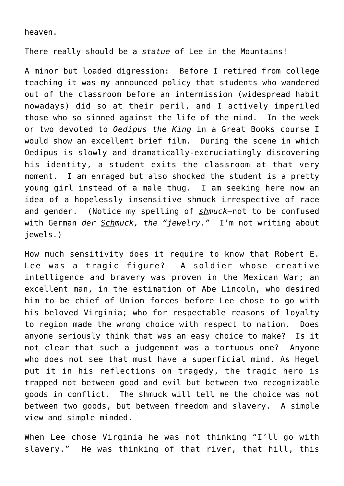heaven.

There really should be a *statue* of Lee in the Mountains!

A minor but loaded digression: Before I retired from college teaching it was my announced policy that students who wandered out of the classroom before an intermission (widespread habit nowadays) did so at their peril, and I actively imperiled those who so sinned against the life of the mind. In the week or two devoted to *Oedipus the King* in a Great Books course I would show an excellent brief film. During the scene in which Oedipus is slowly and dramatically-excruciatingly discovering his identity, a student exits the classroom at that very moment. I am enraged but also shocked the student is a pretty young girl instead of a male thug. I am seeking here now an idea of a hopelessly insensitive shmuck irrespective of race and gender. (Notice my spelling of *shmuck*—not to be confused with German *der Schmuck, the "jewelry."* I'm not writing about jewels.)

How much sensitivity does it require to know that Robert E. Lee was a tragic figure? A soldier whose creative intelligence and bravery was proven in the Mexican War; an excellent man, in the estimation of Abe Lincoln, who desired him to be chief of Union forces before Lee chose to go with his beloved Virginia; who for respectable reasons of loyalty to region made the wrong choice with respect to nation. Does anyone seriously think that was an easy choice to make? Is it not clear that such a judgement was a tortuous one? Anyone who does not see that must have a superficial mind. As Hegel put it in his reflections on tragedy, the tragic hero is trapped not between good and evil but between two recognizable goods in conflict. The shmuck will tell me the choice was not between two goods, but between freedom and slavery. A simple view and simple minded.

When Lee chose Virginia he was not thinking "I'll go with slavery." He was thinking of that river, that hill, this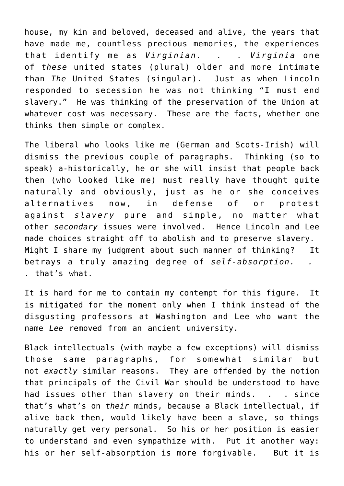house, my kin and beloved, deceased and alive, the years that have made me, countless precious memories, the experiences that identify me as *Virginian. . . Virginia* one of *these* united states (plural) older and more intimate than *The* United States (singular). Just as when Lincoln responded to secession he was not thinking "I must end slavery." He was thinking of the preservation of the Union at whatever cost was necessary. These are the facts, whether one thinks them simple or complex.

The liberal who looks like me (German and Scots-Irish) will dismiss the previous couple of paragraphs. Thinking (so to speak) a-historically, he or she will insist that people back then (who looked like me) must really have thought quite naturally and obviously, just as he or she conceives alternatives now, in defense of or protest against *slavery* pure and simple, no matter what other *secondary* issues were involved. Hence Lincoln and Lee made choices straight off to abolish and to preserve slavery. Might I share my judgment about such manner of thinking? It betrays a truly amazing degree of *self-absorption. . .* that's what.

It is hard for me to contain my contempt for this figure. It is mitigated for the moment only when I think instead of the disgusting professors at Washington and Lee who want the name *Lee* removed from an ancient university.

Black intellectuals (with maybe a few exceptions) will dismiss those same paragraphs, for somewhat similar but not *exactly* similar reasons. They are offended by the notion that principals of the Civil War should be understood to have had issues other than slavery on their minds. . . since that's what's on *their* minds, because a Black intellectual, if alive back then, would likely have been a slave, so things naturally get very personal. So his or her position is easier to understand and even sympathize with. Put it another way: his or her self-absorption is more forgivable. But it is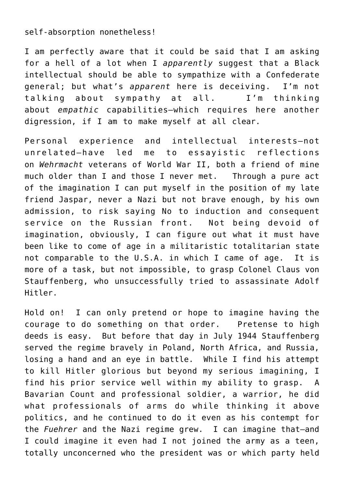self-absorption nonetheless!

I am perfectly aware that it could be said that I am asking for a hell of a lot when I *apparently* suggest that a Black intellectual should be able to sympathize with a Confederate general; but what's *apparent* here is deceiving. I'm not talking about sympathy at all. I'm thinking about *empathic* capabilities—which requires here another digression, if I am to make myself at all clear.

Personal experience and intellectual interests—not unrelated—have led me to essayistic reflections on *Wehrmacht* veterans of World War II, both a friend of mine much older than I and those I never met. Through a pure act of the imagination I can put myself in the position of my late friend Jaspar, never a Nazi but not brave enough, by his own admission, to risk saying No to induction and consequent service on the Russian front. Not being devoid of imagination, obviously, I can figure out what it must have been like to come of age in a militaristic totalitarian state not comparable to the U.S.A. in which I came of age. It is more of a task, but not impossible, to grasp Colonel Claus von Stauffenberg, who unsuccessfully tried to assassinate Adolf Hitler.

Hold on! I can only pretend or hope to imagine having the courage to do something on that order. Pretense to high deeds is easy. But before that day in July 1944 Stauffenberg served the regime bravely in Poland, North Africa, and Russia, losing a hand and an eye in battle. While I find his attempt to kill Hitler glorious but beyond my serious imagining, I find his prior service well within my ability to grasp. A Bavarian Count and professional soldier, a warrior, he did what professionals of arms do while thinking it above politics, and he continued to do it even as his contempt for the *Fuehrer* and the Nazi regime grew. I can imagine that—and I could imagine it even had I not joined the army as a teen, totally unconcerned who the president was or which party held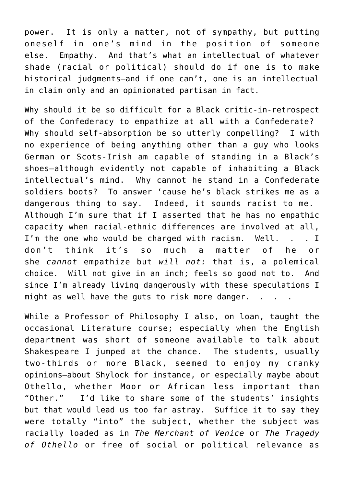power. It is only a matter, not of sympathy, but putting oneself in one's mind in the position of someone else. Empathy. And that's what an intellectual of whatever shade (racial or political) should do if one is to make historical judgments—and if one can't, one is an intellectual in claim only and an opinionated partisan in fact.

Why should it be so difficult for a Black critic-in-retrospect of the Confederacy to empathize at all with a Confederate? Why should self-absorption be so utterly compelling? I with no experience of being anything other than a guy who looks German or Scots-Irish am capable of standing in a Black's shoes—although evidently not capable of inhabiting a Black intellectual's mind. Why cannot he stand in a Confederate soldiers boots? To answer 'cause he's black strikes me as a dangerous thing to say. Indeed, it sounds racist to me. Although I'm sure that if I asserted that he has no empathic capacity when racial-ethnic differences are involved at all, I'm the one who would be charged with racism. Well. . . I don't think it's so much a matter of he or she *cannot* empathize but *will not:* that is, a polemical choice. Will not give in an inch; feels so good not to. And since I'm already living dangerously with these speculations I might as well have the guts to risk more danger. .

While a Professor of Philosophy I also, on loan, taught the occasional Literature course; especially when the English department was short of someone available to talk about Shakespeare I jumped at the chance. The students, usually two-thirds or more Black, seemed to enjoy my cranky opinions—about Shylock for instance, or especially maybe about Othello, whether Moor or African less important than "Other." I'd like to share some of the students' insights but that would lead us too far astray. Suffice it to say they were totally "into" the subject, whether the subject was racially loaded as in *The Merchant of Venice* or *The Tragedy of Othello* or free of social or political relevance as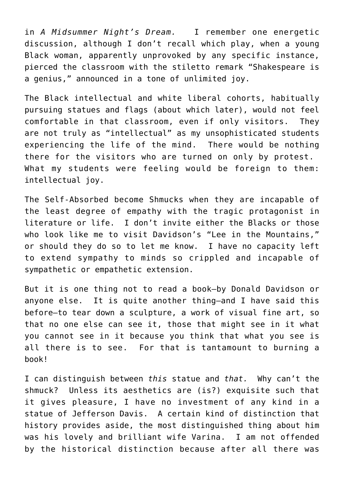in *A Midsummer Night's Dream.* I remember one energetic discussion, although I don't recall which play, when a young Black woman, apparently unprovoked by any specific instance, pierced the classroom with the stiletto remark "Shakespeare is a genius," announced in a tone of unlimited joy.

The Black intellectual and white liberal cohorts, habitually pursuing statues and flags (about which later), would not feel comfortable in that classroom, even if only visitors. They are not truly as "intellectual" as my unsophisticated students experiencing the life of the mind. There would be nothing there for the visitors who are turned on only by protest. What my students were feeling would be foreign to them: intellectual joy.

The Self-Absorbed become Shmucks when they are incapable of the least degree of empathy with the tragic protagonist in literature or life. I don't invite either the Blacks or those who look like me to visit Davidson's "Lee in the Mountains," or should they do so to let me know. I have no capacity left to extend sympathy to minds so crippled and incapable of sympathetic or empathetic extension.

But it is one thing not to read a book—by Donald Davidson or anyone else. It is quite another thing—and I have said this before—to tear down a sculpture, a work of visual fine art, so that no one else can see it, those that might see in it what you cannot see in it because you think that what you see is all there is to see. For that is tantamount to burning a book!

I can distinguish between *this* statue and *that.* Why can't the shmuck? Unless its aesthetics are (is?) exquisite such that it gives pleasure, I have no investment of any kind in a statue of Jefferson Davis. A certain kind of distinction that history provides aside, the most distinguished thing about him was his lovely and brilliant wife Varina. I am not offended by the historical distinction because after all there was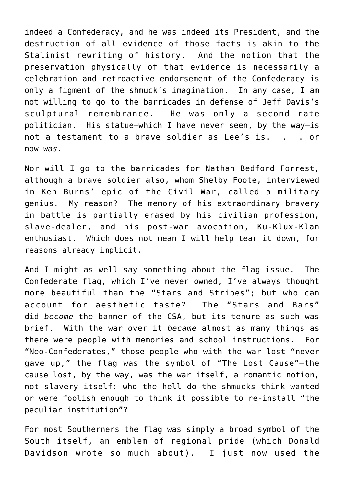indeed a Confederacy, and he was indeed its President, and the destruction of all evidence of those facts is akin to the Stalinist rewriting of history. And the notion that the preservation physically of that evidence is necessarily a celebration and retroactive endorsement of the Confederacy is only a figment of the shmuck's imagination. In any case, I am not willing to go to the barricades in defense of Jeff Davis's sculptural remembrance. He was only a second rate politician. His statue—which I have never seen, by the way—is not a testament to a brave soldier as Lee's is. . . . or now *was*.

Nor will I go to the barricades for Nathan Bedford Forrest, although a brave soldier also, whom Shelby Foote, interviewed in Ken Burns' epic of the Civil War, called a military genius. My reason? The memory of his extraordinary bravery in battle is partially erased by his civilian profession, slave-dealer, and his post-war avocation, Ku-Klux-Klan enthusiast. Which does not mean I will help tear it down, for reasons already implicit.

And I might as well say something about the flag issue. The Confederate flag, which I've never owned, I've always thought more beautiful than the "Stars and Stripes"; but who can account for aesthetic taste? The "Stars and Bars" did *become* the banner of the CSA, but its tenure as such was brief. With the war over it *became* almost as many things as there were people with memories and school instructions. For "Neo-Confederates," those people who with the war lost "never gave up," the flag was the symbol of "The Lost Cause"—the cause lost, by the way, was the war itself, a romantic notion, not slavery itself: who the hell do the shmucks think wanted or were foolish enough to think it possible to re-install "the peculiar institution"?

For most Southerners the flag was simply a broad symbol of the South itself, an emblem of regional pride (which Donald Davidson wrote so much about). I just now used the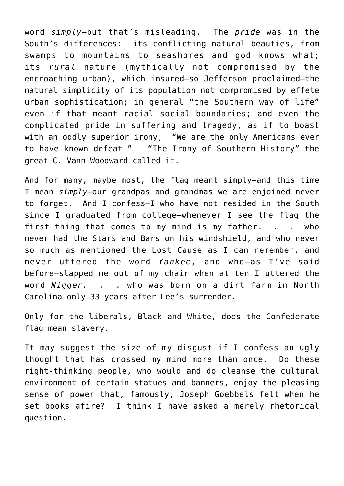word *simply*—but that's misleading. The *pride* was in the South's differences: its conflicting natural beauties, from swamps to mountains to seashores and god knows what; its *rural* nature (mythically not compromised by the encroaching urban), which insured—so Jefferson proclaimed—the natural simplicity of its population not compromised by effete urban sophistication; in general "the Southern way of life" even if that meant racial social boundaries; and even the complicated pride in suffering and tragedy, as if to boast with an oddly superior irony, "We are the only Americans ever to have known defeat." "The Irony of Southern History" the great C. Vann Woodward called it.

And for many, maybe most, the flag meant simply—and this time I mean *simply*—our grandpas and grandmas we are enjoined never to forget. And I confess—I who have not resided in the South since I graduated from college—whenever I see the flag the first thing that comes to my mind is my father. . . who never had the Stars and Bars on his windshield, and who never so much as mentioned the Lost Cause as I can remember, and never uttered the word *Yankee,* and who—as I've said before—slapped me out of my chair when at ten I uttered the word *Nigger. . .* who was born on a dirt farm in North Carolina only 33 years after Lee's surrender.

Only for the liberals, Black and White, does the Confederate flag mean slavery.

It may suggest the size of my disgust if I confess an ugly thought that has crossed my mind more than once. Do these right-thinking people, who would and do cleanse the cultural environment of certain statues and banners, enjoy the pleasing sense of power that, famously, Joseph Goebbels felt when he set books afire? I think I have asked a merely rhetorical question.